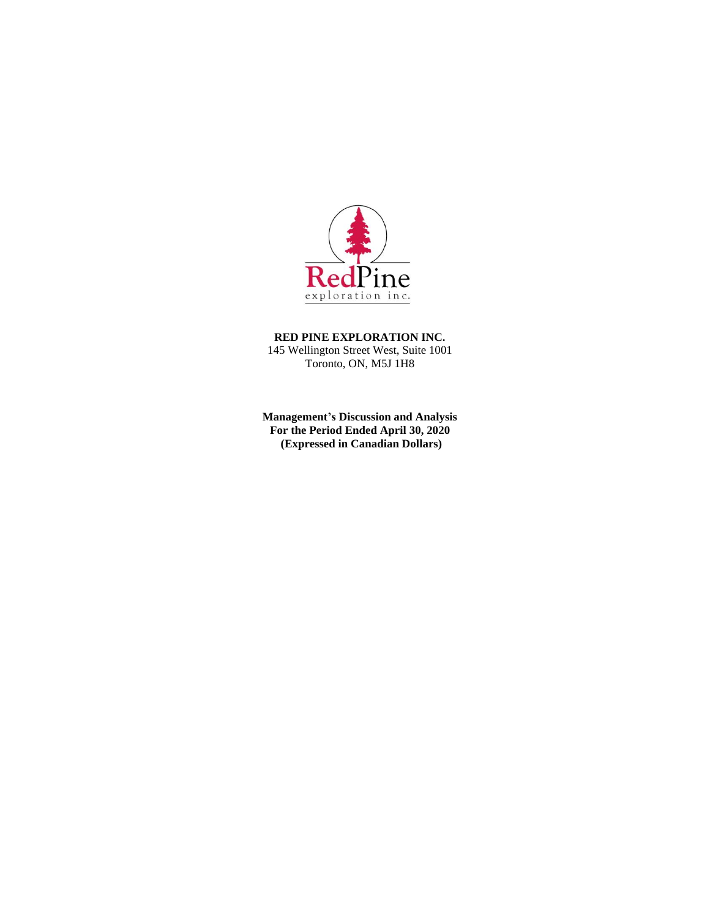

**RED PINE EXPLORATION INC.** 145 Wellington Street West, Suite 1001 Toronto, ON, M5J 1H8

**Management's Discussion and Analysis For the Period Ended April 30, 2020 (Expressed in Canadian Dollars)**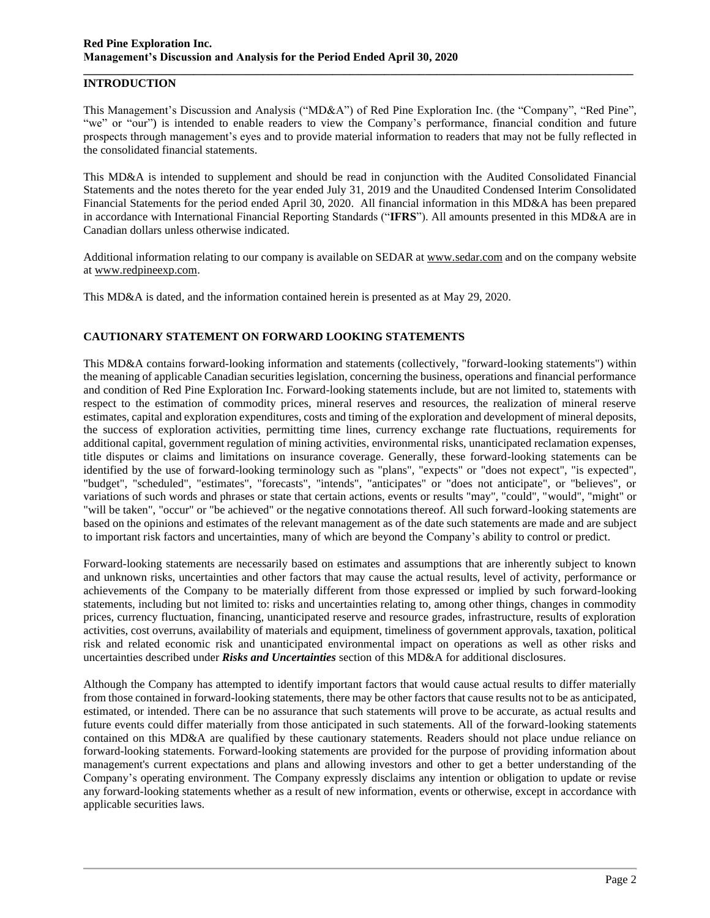## **INTRODUCTION**

This Management's Discussion and Analysis ("MD&A") of Red Pine Exploration Inc. (the "Company", "Red Pine", "we" or "our") is intended to enable readers to view the Company's performance, financial condition and future prospects through management's eyes and to provide material information to readers that may not be fully reflected in the consolidated financial statements.

This MD&A is intended to supplement and should be read in conjunction with the Audited Consolidated Financial Statements and the notes thereto for the year ended July 31, 2019 and the Unaudited Condensed Interim Consolidated Financial Statements for the period ended April 30, 2020. All financial information in this MD&A has been prepared in accordance with International Financial Reporting Standards ("**IFRS**"). All amounts presented in this MD&A are in Canadian dollars unless otherwise indicated.

Additional information relating to our company is available on SEDAR at www.sedar.com and on the company website at www.redpineexp.com.

This MD&A is dated, and the information contained herein is presented as at May 29, 2020.

# **CAUTIONARY STATEMENT ON FORWARD LOOKING STATEMENTS**

This MD&A contains forward-looking information and statements (collectively, "forward-looking statements") within the meaning of applicable Canadian securities legislation, concerning the business, operations and financial performance and condition of Red Pine Exploration Inc. Forward-looking statements include, but are not limited to, statements with respect to the estimation of commodity prices, mineral reserves and resources, the realization of mineral reserve estimates, capital and exploration expenditures, costs and timing of the exploration and development of mineral deposits, the success of exploration activities, permitting time lines, currency exchange rate fluctuations, requirements for additional capital, government regulation of mining activities, environmental risks, unanticipated reclamation expenses, title disputes or claims and limitations on insurance coverage. Generally, these forward-looking statements can be identified by the use of forward-looking terminology such as "plans", "expects" or "does not expect", "is expected", "budget", "scheduled", "estimates", "forecasts", "intends", "anticipates" or "does not anticipate", or "believes", or variations of such words and phrases or state that certain actions, events or results "may", "could", "would", "might" or "will be taken", "occur" or "be achieved" or the negative connotations thereof. All such forward-looking statements are based on the opinions and estimates of the relevant management as of the date such statements are made and are subject to important risk factors and uncertainties, many of which are beyond the Company's ability to control or predict.

Forward-looking statements are necessarily based on estimates and assumptions that are inherently subject to known and unknown risks, uncertainties and other factors that may cause the actual results, level of activity, performance or achievements of the Company to be materially different from those expressed or implied by such forward-looking statements, including but not limited to: risks and uncertainties relating to, among other things, changes in commodity prices, currency fluctuation, financing, unanticipated reserve and resource grades, infrastructure, results of exploration activities, cost overruns, availability of materials and equipment, timeliness of government approvals, taxation, political risk and related economic risk and unanticipated environmental impact on operations as well as other risks and uncertainties described under *Risks and Uncertainties* section of this MD&A for additional disclosures.

Although the Company has attempted to identify important factors that would cause actual results to differ materially from those contained in forward-looking statements, there may be other factors that cause results not to be as anticipated, estimated, or intended. There can be no assurance that such statements will prove to be accurate, as actual results and future events could differ materially from those anticipated in such statements. All of the forward-looking statements contained on this MD&A are qualified by these cautionary statements. Readers should not place undue reliance on forward-looking statements. Forward-looking statements are provided for the purpose of providing information about management's current expectations and plans and allowing investors and other to get a better understanding of the Company's operating environment. The Company expressly disclaims any intention or obligation to update or revise any forward-looking statements whether as a result of new information, events or otherwise, except in accordance with applicable securities laws.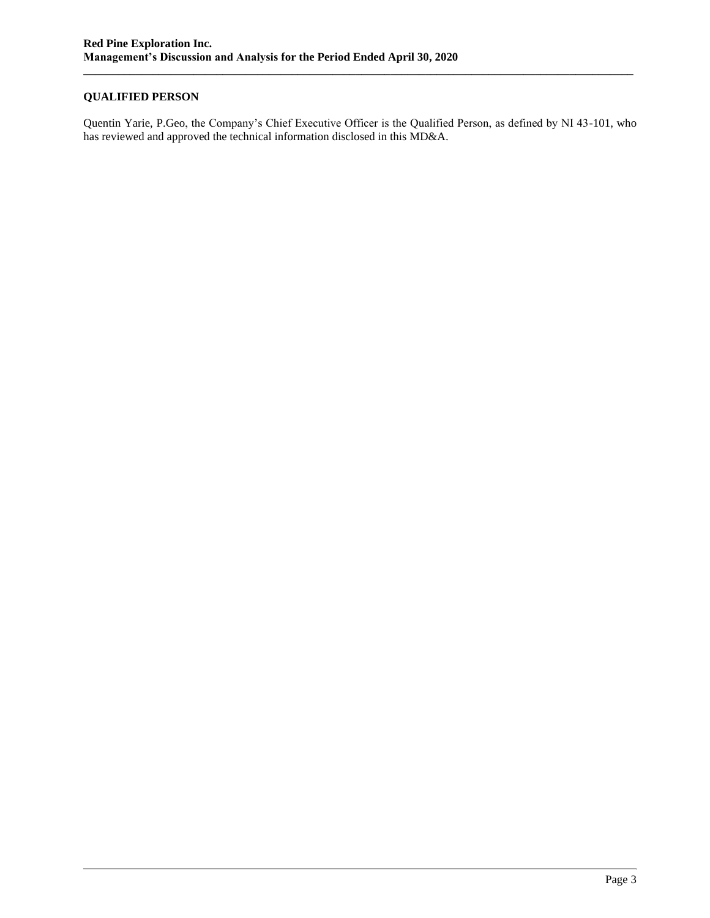# **QUALIFIED PERSON**

Quentin Yarie, P.Geo, the Company's Chief Executive Officer is the Qualified Person, as defined by NI 43-101, who has reviewed and approved the technical information disclosed in this MD&A.

**\_\_\_\_\_\_\_\_\_\_\_\_\_\_\_\_\_\_\_\_\_\_\_\_\_\_\_\_\_\_\_\_\_\_\_\_\_\_\_\_\_\_\_\_\_\_\_\_\_\_\_\_\_\_\_\_\_\_\_\_\_\_\_\_\_\_\_\_\_\_\_\_\_\_\_\_\_\_\_\_\_\_\_\_\_\_\_\_\_\_\_\_\_\_\_**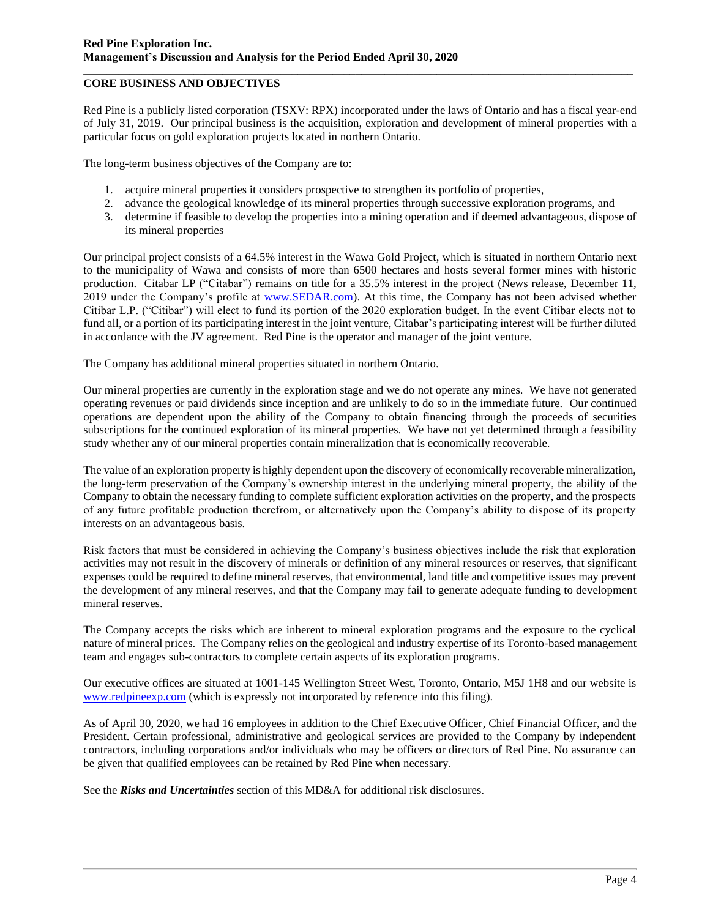## **CORE BUSINESS AND OBJECTIVES**

Red Pine is a publicly listed corporation (TSXV: RPX) incorporated under the laws of Ontario and has a fiscal year-end of July 31, 2019. Our principal business is the acquisition, exploration and development of mineral properties with a particular focus on gold exploration projects located in northern Ontario.

**\_\_\_\_\_\_\_\_\_\_\_\_\_\_\_\_\_\_\_\_\_\_\_\_\_\_\_\_\_\_\_\_\_\_\_\_\_\_\_\_\_\_\_\_\_\_\_\_\_\_\_\_\_\_\_\_\_\_\_\_\_\_\_\_\_\_\_\_\_\_\_\_\_\_\_\_\_\_\_\_\_\_\_\_\_\_\_\_\_\_\_\_\_\_\_**

The long-term business objectives of the Company are to:

- 1. acquire mineral properties it considers prospective to strengthen its portfolio of properties,
- 2. advance the geological knowledge of its mineral properties through successive exploration programs, and
- 3. determine if feasible to develop the properties into a mining operation and if deemed advantageous, dispose of its mineral properties

Our principal project consists of a 64.5% interest in the Wawa Gold Project, which is situated in northern Ontario next to the municipality of Wawa and consists of more than 6500 hectares and hosts several former mines with historic production. Citabar LP ("Citabar") remains on title for a 35.5% interest in the project (News release, December 11, 2019 under the Company's profile at [www.SEDAR.com\)](http://www.sedar.com/). At this time, the Company has not been advised whether Citibar L.P. ("Citibar") will elect to fund its portion of the 2020 exploration budget. In the event Citibar elects not to fund all, or a portion of its participating interest in the joint venture, Citabar's participating interest will be further diluted in accordance with the JV agreement. Red Pine is the operator and manager of the joint venture.

The Company has additional mineral properties situated in northern Ontario.

Our mineral properties are currently in the exploration stage and we do not operate any mines. We have not generated operating revenues or paid dividends since inception and are unlikely to do so in the immediate future. Our continued operations are dependent upon the ability of the Company to obtain financing through the proceeds of securities subscriptions for the continued exploration of its mineral properties. We have not yet determined through a feasibility study whether any of our mineral properties contain mineralization that is economically recoverable.

The value of an exploration property is highly dependent upon the discovery of economically recoverable mineralization, the long-term preservation of the Company's ownership interest in the underlying mineral property, the ability of the Company to obtain the necessary funding to complete sufficient exploration activities on the property, and the prospects of any future profitable production therefrom, or alternatively upon the Company's ability to dispose of its property interests on an advantageous basis.

Risk factors that must be considered in achieving the Company's business objectives include the risk that exploration activities may not result in the discovery of minerals or definition of any mineral resources or reserves, that significant expenses could be required to define mineral reserves, that environmental, land title and competitive issues may prevent the development of any mineral reserves, and that the Company may fail to generate adequate funding to development mineral reserves.

The Company accepts the risks which are inherent to mineral exploration programs and the exposure to the cyclical nature of mineral prices. The Company relies on the geological and industry expertise of its Toronto-based management team and engages sub-contractors to complete certain aspects of its exploration programs.

Our executive offices are situated at 1001-145 Wellington Street West, Toronto, Ontario, M5J 1H8 and our website is [www.redpineexp.com](http://www.redpineexp.com/) (which is expressly not incorporated by reference into this filing).

As of April 30, 2020, we had 16 employees in addition to the Chief Executive Officer, Chief Financial Officer, and the President. Certain professional, administrative and geological services are provided to the Company by independent contractors, including corporations and/or individuals who may be officers or directors of Red Pine. No assurance can be given that qualified employees can be retained by Red Pine when necessary.

See the *Risks and Uncertainties* section of this MD&A for additional risk disclosures.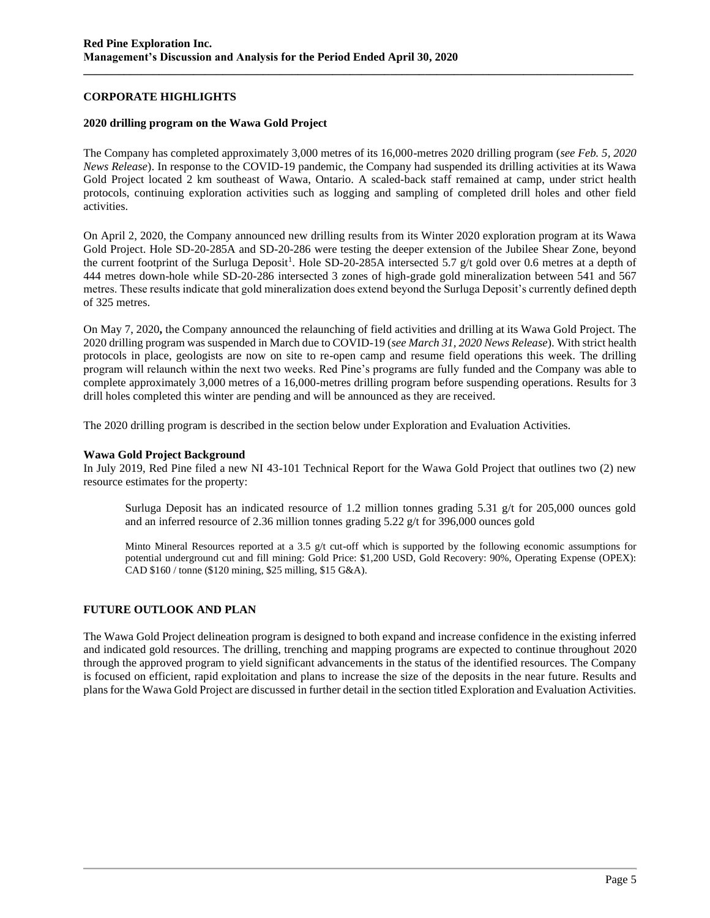## **CORPORATE HIGHLIGHTS**

## **2020 drilling program on the Wawa Gold Project**

The Company has completed approximately 3,000 metres of its 16,000-metres 2020 drilling program (*see Feb. 5, 2020 News Release*). In response to the COVID-19 pandemic, the Company had suspended its drilling activities at its Wawa Gold Project located 2 km southeast of Wawa, Ontario. A scaled-back staff remained at camp, under strict health protocols, continuing exploration activities such as logging and sampling of completed drill holes and other field activities.

**\_\_\_\_\_\_\_\_\_\_\_\_\_\_\_\_\_\_\_\_\_\_\_\_\_\_\_\_\_\_\_\_\_\_\_\_\_\_\_\_\_\_\_\_\_\_\_\_\_\_\_\_\_\_\_\_\_\_\_\_\_\_\_\_\_\_\_\_\_\_\_\_\_\_\_\_\_\_\_\_\_\_\_\_\_\_\_\_\_\_\_\_\_\_\_**

On April 2, 2020, the Company announced new drilling results from its Winter 2020 exploration program at its Wawa Gold Project. Hole SD-20-285A and SD-20-286 were testing the deeper extension of the Jubilee Shear Zone, beyond the current footprint of the Surluga Deposit<sup>1</sup>. Hole SD-20-285A intersected 5.7 g/t gold over 0.6 metres at a depth of 444 metres down-hole while SD-20-286 intersected 3 zones of high-grade gold mineralization between 541 and 567 metres. These results indicate that gold mineralization does extend beyond the Surluga Deposit's currently defined depth of 325 metres.

On May 7, 2020**,** the Company announced the relaunching of field activities and drilling at its Wawa Gold Project. The 2020 drilling program was suspended in March due to COVID-19 (*see March 31, 2020 News Release*). With strict health protocols in place, geologists are now on site to re-open camp and resume field operations this week. The drilling program will relaunch within the next two weeks. Red Pine's programs are fully funded and the Company was able to complete approximately 3,000 metres of a 16,000-metres drilling program before suspending operations. Results for 3 drill holes completed this winter are pending and will be announced as they are received.

The 2020 drilling program is described in the section below under Exploration and Evaluation Activities.

## **Wawa Gold Project Background**

In July 2019, Red Pine filed a new NI 43-101 Technical Report for the Wawa Gold Project that outlines two (2) new resource estimates for the property:

Surluga Deposit has an indicated resource of 1.2 million tonnes grading 5.31 g/t for 205,000 ounces gold and an inferred resource of 2.36 million tonnes grading 5.22 g/t for 396,000 ounces gold

Minto Mineral Resources reported at a 3.5  $g/t$  cut-off which is supported by the following economic assumptions for potential underground cut and fill mining: Gold Price: \$1,200 USD, Gold Recovery: 90%, Operating Expense (OPEX): CAD \$160 / tonne (\$120 mining, \$25 milling, \$15 G&A).

## **FUTURE OUTLOOK AND PLAN**

The Wawa Gold Project delineation program is designed to both expand and increase confidence in the existing inferred and indicated gold resources. The drilling, trenching and mapping programs are expected to continue throughout 2020 through the approved program to yield significant advancements in the status of the identified resources. The Company is focused on efficient, rapid exploitation and plans to increase the size of the deposits in the near future. Results and plans for the Wawa Gold Project are discussed in further detail in the section titled Exploration and Evaluation Activities.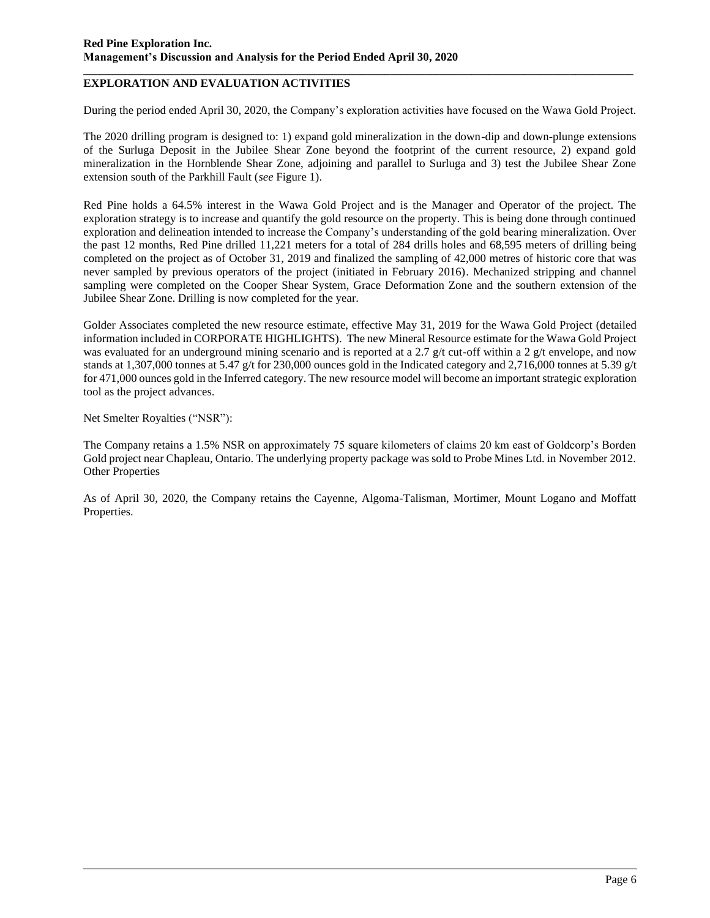# **EXPLORATION AND EVALUATION ACTIVITIES**

During the period ended April 30, 2020, the Company's exploration activities have focused on the Wawa Gold Project.

The 2020 drilling program is designed to: 1) expand gold mineralization in the down-dip and down-plunge extensions of the Surluga Deposit in the Jubilee Shear Zone beyond the footprint of the current resource, 2) expand gold mineralization in the Hornblende Shear Zone, adjoining and parallel to Surluga and 3) test the Jubilee Shear Zone extension south of the Parkhill Fault (*see* Figure 1).

Red Pine holds a 64.5% interest in the Wawa Gold Project and is the Manager and Operator of the project. The exploration strategy is to increase and quantify the gold resource on the property. This is being done through continued exploration and delineation intended to increase the Company's understanding of the gold bearing mineralization. Over the past 12 months, Red Pine drilled 11,221 meters for a total of 284 drills holes and 68,595 meters of drilling being completed on the project as of October 31, 2019 and finalized the sampling of 42,000 metres of historic core that was never sampled by previous operators of the project (initiated in February 2016). Mechanized stripping and channel sampling were completed on the Cooper Shear System, Grace Deformation Zone and the southern extension of the Jubilee Shear Zone. Drilling is now completed for the year.

Golder Associates completed the new resource estimate, effective May 31, 2019 for the Wawa Gold Project (detailed information included in CORPORATE HIGHLIGHTS). The new Mineral Resource estimate for the Wawa Gold Project was evaluated for an underground mining scenario and is reported at a 2.7 g/t cut-off within a 2 g/t envelope, and now stands at 1,307,000 tonnes at 5.47 g/t for 230,000 ounces gold in the Indicated category and 2,716,000 tonnes at 5.39 g/t for 471,000 ounces gold in the Inferred category. The new resource model will become an important strategic exploration tool as the project advances.

Net Smelter Royalties ("NSR"):

The Company retains a 1.5% NSR on approximately 75 square kilometers of claims 20 km east of Goldcorp's Borden Gold project near Chapleau, Ontario. The underlying property package was sold to Probe Mines Ltd. in November 2012. Other Properties

As of April 30, 2020, the Company retains the Cayenne, Algoma-Talisman, Mortimer, Mount Logano and Moffatt Properties.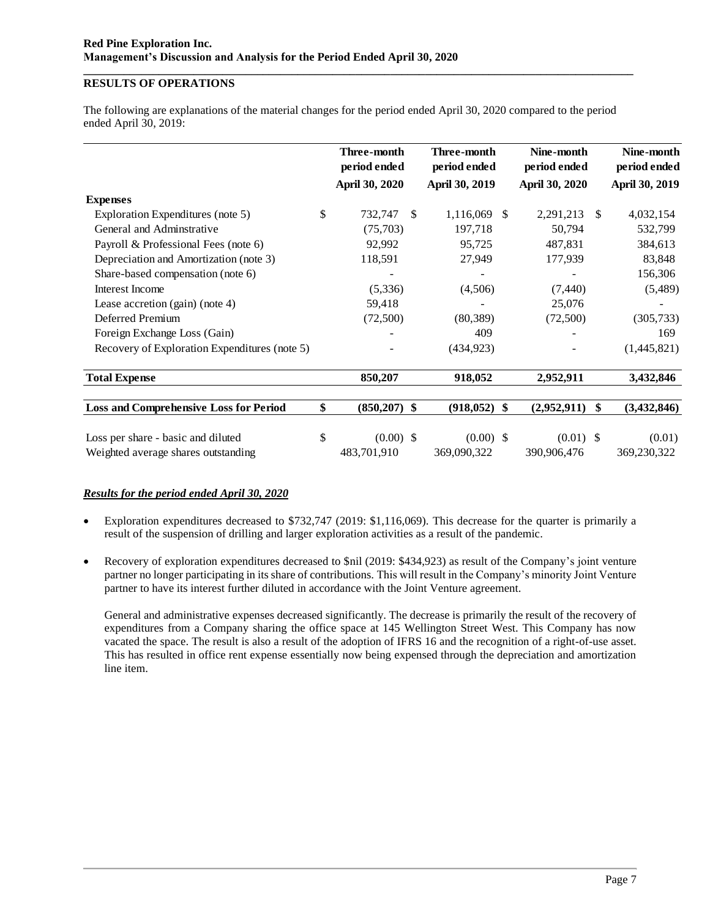# **RESULTS OF OPERATIONS**

The following are explanations of the material changes for the period ended April 30, 2020 compared to the period ended April 30, 2019:

**\_\_\_\_\_\_\_\_\_\_\_\_\_\_\_\_\_\_\_\_\_\_\_\_\_\_\_\_\_\_\_\_\_\_\_\_\_\_\_\_\_\_\_\_\_\_\_\_\_\_\_\_\_\_\_\_\_\_\_\_\_\_\_\_\_\_\_\_\_\_\_\_\_\_\_\_\_\_\_\_\_\_\_\_\_\_\_\_\_\_\_\_\_\_\_**

|                                               | Three-month<br>period ended |     | Three-month<br>period ended |     | Nine-month<br>period ended |               | Nine-month<br>period ended |
|-----------------------------------------------|-----------------------------|-----|-----------------------------|-----|----------------------------|---------------|----------------------------|
|                                               | April 30, 2020              |     | April 30, 2019              |     | April 30, 2020             |               | April 30, 2019             |
| <b>Expenses</b>                               |                             |     |                             |     |                            |               |                            |
| Exploration Expenditures (note 5)             | \$<br>732,747               | \$. | 1,116,069                   | -\$ | 2,291,213                  | <sup>\$</sup> | 4,032,154                  |
| General and Adminstrative                     | (75,703)                    |     | 197,718                     |     | 50,794                     |               | 532,799                    |
| Payroll & Professional Fees (note 6)          | 92,992                      |     | 95,725                      |     | 487,831                    |               | 384,613                    |
| Depreciation and Amortization (note 3)        | 118,591                     |     | 27,949                      |     | 177,939                    |               | 83,848                     |
| Share-based compensation (note 6)             |                             |     |                             |     |                            |               | 156,306                    |
| Interest Income                               | (5,336)                     |     | (4,506)                     |     | (7, 440)                   |               | (5,489)                    |
| Lease accretion $(gain)$ (note 4)             | 59,418                      |     |                             |     | 25,076                     |               |                            |
| Deferred Premium                              | (72,500)                    |     | (80, 389)                   |     | (72,500)                   |               | (305, 733)                 |
| Foreign Exchange Loss (Gain)                  |                             |     | 409                         |     |                            |               | 169                        |
| Recovery of Exploration Expenditures (note 5) |                             |     | (434, 923)                  |     |                            |               | (1,445,821)                |
| <b>Total Expense</b>                          | 850,207                     |     | 918,052                     |     | 2,952,911                  |               | 3,432,846                  |
| <b>Loss and Comprehensive Loss for Period</b> | \$<br>(850, 207)            | \$  | (918, 052)                  | -\$ | (2,952,911)                | \$            | (3,432,846)                |
| Loss per share - basic and diluted            | \$<br>$(0.00)$ \$           |     | $(0.00)$ \$                 |     | $(0.01)$ \$                |               | (0.01)                     |
| Weighted average shares outstanding           | 483,701,910                 |     | 369,090,322                 |     | 390,906,476                |               | 369,230,322                |

# *Results for the period ended April 30, 2020*

- Exploration expenditures decreased to \$732,747 (2019: \$1,116,069). This decrease for the quarter is primarily a result of the suspension of drilling and larger exploration activities as a result of the pandemic.
- Recovery of exploration expenditures decreased to \$nil (2019: \$434,923) as result of the Company's joint venture partner no longer participating in its share of contributions. This will result in the Company's minority Joint Venture partner to have its interest further diluted in accordance with the Joint Venture agreement.

General and administrative expenses decreased significantly. The decrease is primarily the result of the recovery of expenditures from a Company sharing the office space at 145 Wellington Street West. This Company has now vacated the space. The result is also a result of the adoption of IFRS 16 and the recognition of a right-of-use asset. This has resulted in office rent expense essentially now being expensed through the depreciation and amortization line item.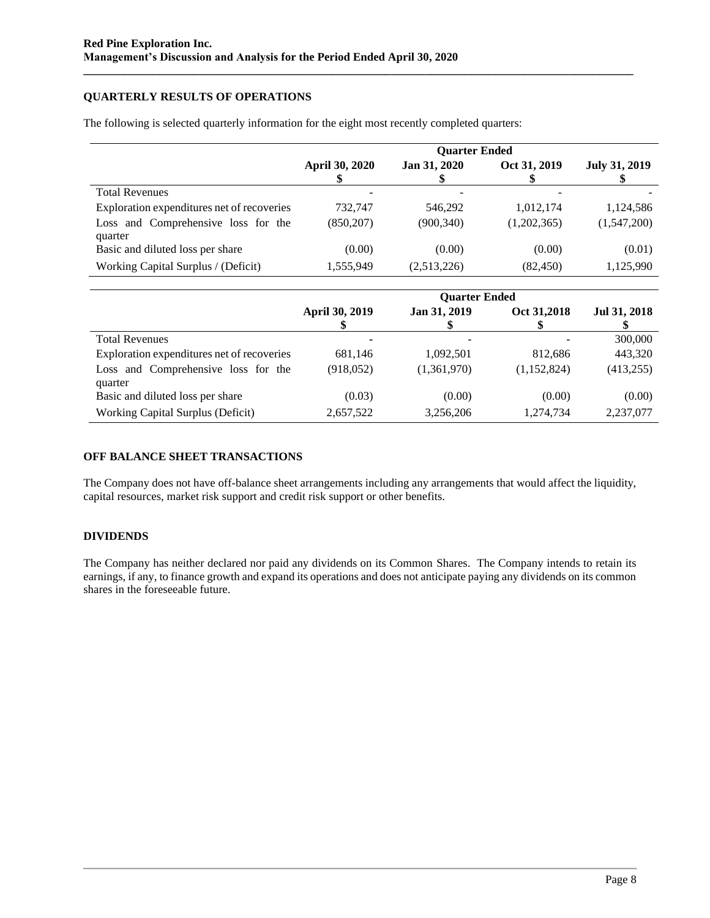# **QUARTERLY RESULTS OF OPERATIONS**

The following is selected quarterly information for the eight most recently completed quarters:

|                                                | <b>Ouarter Ended</b> |              |              |                      |
|------------------------------------------------|----------------------|--------------|--------------|----------------------|
|                                                | April 30, 2020       | Jan 31, 2020 | Oct 31, 2019 | <b>July 31, 2019</b> |
| <b>Total Revenues</b>                          |                      |              |              |                      |
| Exploration expenditures net of recoveries     | 732,747              | 546.292      | 1,012,174    | 1,124,586            |
| Loss and Comprehensive loss for the<br>quarter | (850, 207)           | (900, 340)   | (1,202,365)  | (1,547,200)          |
| Basic and diluted loss per share               | (0.00)               | (0.00)       | (0.00)       | (0.01)               |
| Working Capital Surplus / (Deficit)            | 1,555,949            | (2,513,226)  | (82, 450)    | 1,125,990            |

**\_\_\_\_\_\_\_\_\_\_\_\_\_\_\_\_\_\_\_\_\_\_\_\_\_\_\_\_\_\_\_\_\_\_\_\_\_\_\_\_\_\_\_\_\_\_\_\_\_\_\_\_\_\_\_\_\_\_\_\_\_\_\_\_\_\_\_\_\_\_\_\_\_\_\_\_\_\_\_\_\_\_\_\_\_\_\_\_\_\_\_\_\_\_\_**

|                                            | <b>Quarter Ended</b> |              |             |              |
|--------------------------------------------|----------------------|--------------|-------------|--------------|
|                                            | April 30, 2019       | Jan 31, 2019 | Oct 31,2018 | Jul 31, 2018 |
| <b>Total Revenues</b>                      |                      |              |             | 300,000      |
|                                            |                      |              |             |              |
| Exploration expenditures net of recoveries | 681,146              | 1,092,501    | 812.686     | 443,320      |
| Loss and Comprehensive loss for the        | (918, 052)           | (1,361,970)  | (1,152,824) | (413, 255)   |
| quarter                                    |                      |              |             |              |
| Basic and diluted loss per share           | (0.03)               | (0.00)       | (0.00)      | (0.00)       |
| Working Capital Surplus (Deficit)          | 2,657,522            | 3,256,206    | 1,274,734   | 2,237,077    |

#### **OFF BALANCE SHEET TRANSACTIONS**

The Company does not have off-balance sheet arrangements including any arrangements that would affect the liquidity, capital resources, market risk support and credit risk support or other benefits.

## **DIVIDENDS**

The Company has neither declared nor paid any dividends on its Common Shares. The Company intends to retain its earnings, if any, to finance growth and expand its operations and does not anticipate paying any dividends on its common shares in the foreseeable future.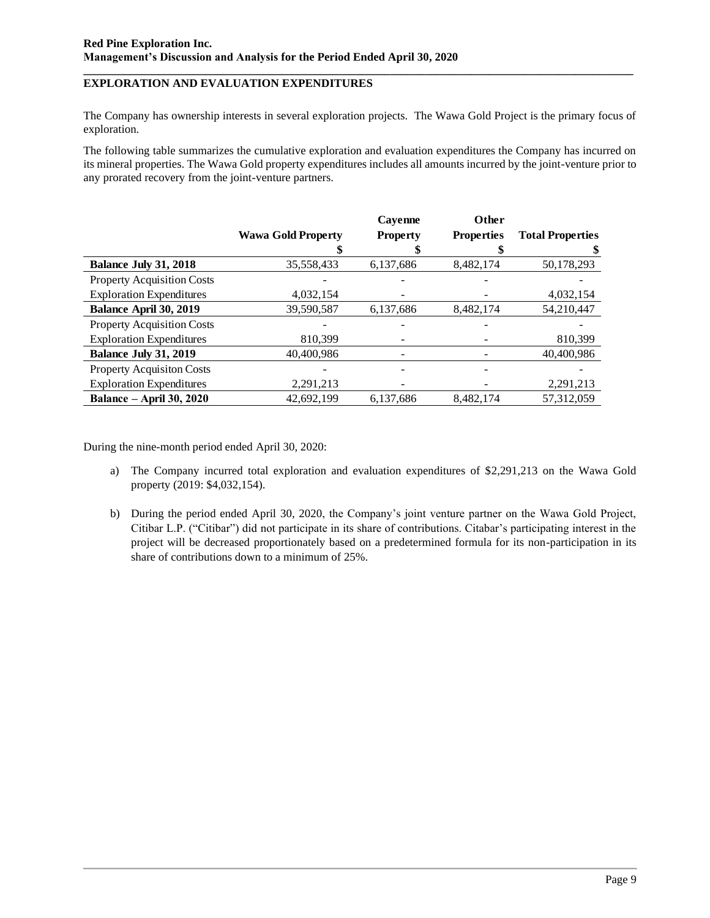# **EXPLORATION AND EVALUATION EXPENDITURES**

The Company has ownership interests in several exploration projects. The Wawa Gold Project is the primary focus of exploration.

**\_\_\_\_\_\_\_\_\_\_\_\_\_\_\_\_\_\_\_\_\_\_\_\_\_\_\_\_\_\_\_\_\_\_\_\_\_\_\_\_\_\_\_\_\_\_\_\_\_\_\_\_\_\_\_\_\_\_\_\_\_\_\_\_\_\_\_\_\_\_\_\_\_\_\_\_\_\_\_\_\_\_\_\_\_\_\_\_\_\_\_\_\_\_\_**

The following table summarizes the cumulative exploration and evaluation expenditures the Company has incurred on its mineral properties. The Wawa Gold property expenditures includes all amounts incurred by the joint-venture prior to any prorated recovery from the joint-venture partners.

|                                   |                           | Cayenne         | Other             |                         |
|-----------------------------------|---------------------------|-----------------|-------------------|-------------------------|
|                                   | <b>Wawa Gold Property</b> | <b>Property</b> | <b>Properties</b> | <b>Total Properties</b> |
|                                   |                           |                 |                   |                         |
| <b>Balance July 31, 2018</b>      | 35,558,433                | 6,137,686       | 8,482,174         | 50,178,293              |
| <b>Property Acquisition Costs</b> |                           |                 |                   |                         |
| <b>Exploration Expenditures</b>   | 4,032,154                 |                 |                   | 4,032,154               |
| Balance April 30, 2019            | 39,590,587                | 6,137,686       | 8,482,174         | 54,210,447              |
| <b>Property Acquisition Costs</b> |                           |                 |                   |                         |
| <b>Exploration Expenditures</b>   | 810,399                   |                 |                   | 810,399                 |
| <b>Balance July 31, 2019</b>      | 40,400,986                |                 |                   | 40,400,986              |
| Property Acquisiton Costs         |                           |                 |                   |                         |
| <b>Exploration Expenditures</b>   | 2,291,213                 |                 |                   | 2,291,213               |
| <b>Balance – April 30, 2020</b>   | 42,692,199                | 6,137,686       | 8,482,174         | 57,312,059              |

During the nine-month period ended April 30, 2020:

- a) The Company incurred total exploration and evaluation expenditures of \$2,291,213 on the Wawa Gold property (2019: \$4,032,154).
- b) During the period ended April 30, 2020, the Company's joint venture partner on the Wawa Gold Project, Citibar L.P. ("Citibar") did not participate in its share of contributions. Citabar's participating interest in the project will be decreased proportionately based on a predetermined formula for its non-participation in its share of contributions down to a minimum of 25%.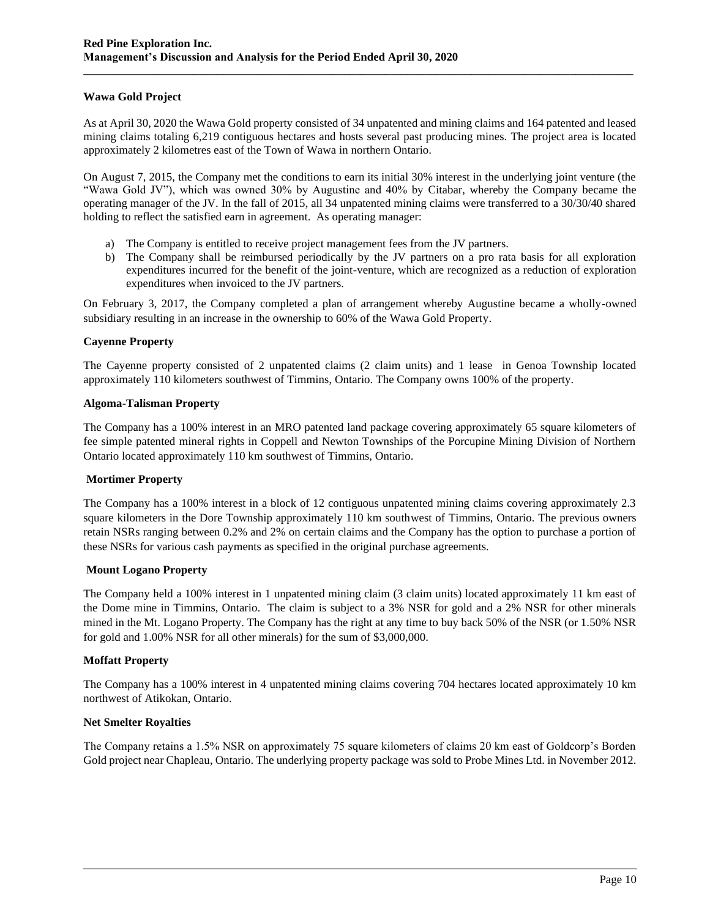## **Wawa Gold Project**

As at April 30, 2020 the Wawa Gold property consisted of 34 unpatented and mining claims and 164 patented and leased mining claims totaling 6,219 contiguous hectares and hosts several past producing mines. The project area is located approximately 2 kilometres east of the Town of Wawa in northern Ontario.

**\_\_\_\_\_\_\_\_\_\_\_\_\_\_\_\_\_\_\_\_\_\_\_\_\_\_\_\_\_\_\_\_\_\_\_\_\_\_\_\_\_\_\_\_\_\_\_\_\_\_\_\_\_\_\_\_\_\_\_\_\_\_\_\_\_\_\_\_\_\_\_\_\_\_\_\_\_\_\_\_\_\_\_\_\_\_\_\_\_\_\_\_\_\_\_**

On August 7, 2015, the Company met the conditions to earn its initial 30% interest in the underlying joint venture (the "Wawa Gold JV"), which was owned 30% by Augustine and 40% by Citabar, whereby the Company became the operating manager of the JV. In the fall of 2015, all 34 unpatented mining claims were transferred to a 30/30/40 shared holding to reflect the satisfied earn in agreement. As operating manager:

- a) The Company is entitled to receive project management fees from the JV partners.
- b) The Company shall be reimbursed periodically by the JV partners on a pro rata basis for all exploration expenditures incurred for the benefit of the joint-venture, which are recognized as a reduction of exploration expenditures when invoiced to the JV partners.

On February 3, 2017, the Company completed a plan of arrangement whereby Augustine became a wholly-owned subsidiary resulting in an increase in the ownership to 60% of the Wawa Gold Property.

## **Cayenne Property**

The Cayenne property consisted of 2 unpatented claims (2 claim units) and 1 lease in Genoa Township located approximately 110 kilometers southwest of Timmins, Ontario. The Company owns 100% of the property.

#### **Algoma-Talisman Property**

The Company has a 100% interest in an MRO patented land package covering approximately 65 square kilometers of fee simple patented mineral rights in Coppell and Newton Townships of the Porcupine Mining Division of Northern Ontario located approximately 110 km southwest of Timmins, Ontario.

## **Mortimer Property**

The Company has a 100% interest in a block of 12 contiguous unpatented mining claims covering approximately 2.3 square kilometers in the Dore Township approximately 110 km southwest of Timmins, Ontario. The previous owners retain NSRs ranging between 0.2% and 2% on certain claims and the Company has the option to purchase a portion of these NSRs for various cash payments as specified in the original purchase agreements.

## **Mount Logano Property**

The Company held a 100% interest in 1 unpatented mining claim (3 claim units) located approximately 11 km east of the Dome mine in Timmins, Ontario. The claim is subject to a 3% NSR for gold and a 2% NSR for other minerals mined in the Mt. Logano Property. The Company has the right at any time to buy back 50% of the NSR (or 1.50% NSR for gold and 1.00% NSR for all other minerals) for the sum of \$3,000,000.

## **Moffatt Property**

The Company has a 100% interest in 4 unpatented mining claims covering 704 hectares located approximately 10 km northwest of Atikokan, Ontario.

## **Net Smelter Royalties**

The Company retains a 1.5% NSR on approximately 75 square kilometers of claims 20 km east of Goldcorp's Borden Gold project near Chapleau, Ontario. The underlying property package was sold to Probe Mines Ltd. in November 2012.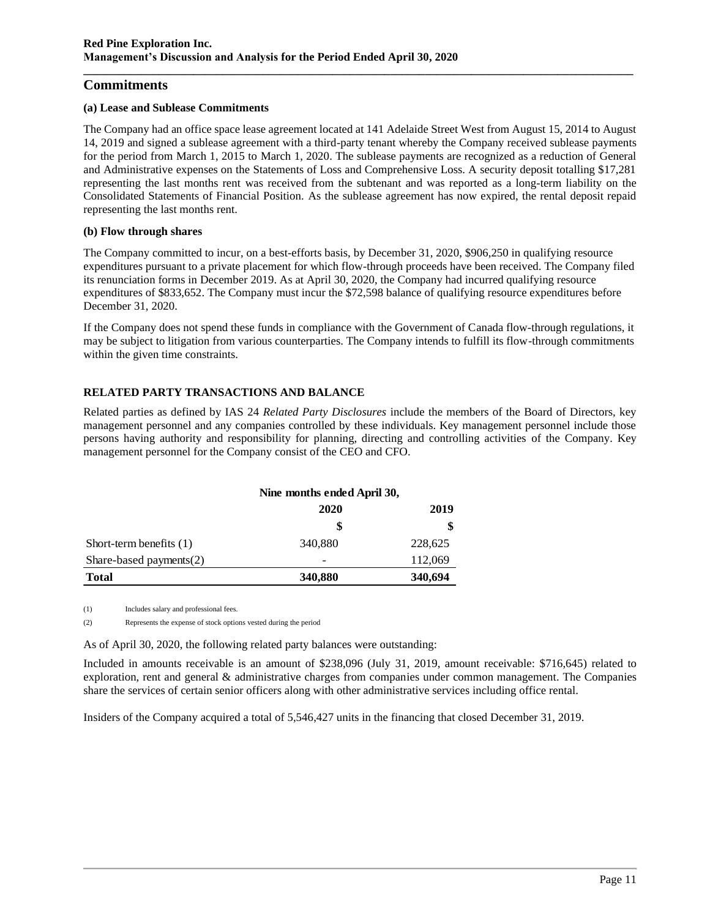# **Commitments**

## **(a) Lease and Sublease Commitments**

The Company had an office space lease agreement located at 141 Adelaide Street West from August 15, 2014 to August 14, 2019 and signed a sublease agreement with a third-party tenant whereby the Company received sublease payments for the period from March 1, 2015 to March 1, 2020. The sublease payments are recognized as a reduction of General and Administrative expenses on the Statements of Loss and Comprehensive Loss. A security deposit totalling \$17,281 representing the last months rent was received from the subtenant and was reported as a long-term liability on the Consolidated Statements of Financial Position. As the sublease agreement has now expired, the rental deposit repaid representing the last months rent.

# **(b) Flow through shares**

The Company committed to incur, on a best-efforts basis, by December 31, 2020, \$906,250 in qualifying resource expenditures pursuant to a private placement for which flow-through proceeds have been received. The Company filed its renunciation forms in December 2019. As at April 30, 2020, the Company had incurred qualifying resource expenditures of \$833,652. The Company must incur the \$72,598 balance of qualifying resource expenditures before December 31, 2020.

If the Company does not spend these funds in compliance with the Government of Canada flow-through regulations, it may be subject to litigation from various counterparties. The Company intends to fulfill its flow-through commitments within the given time constraints.

# **RELATED PARTY TRANSACTIONS AND BALANCE**

Related parties as defined by IAS 24 *Related Party Disclosures* include the members of the Board of Directors, key management personnel and any companies controlled by these individuals. Key management personnel include those persons having authority and responsibility for planning, directing and controlling activities of the Company. Key management personnel for the Company consist of the CEO and CFO.

|                            | Nine months ended April 30, |         |
|----------------------------|-----------------------------|---------|
|                            | 2020                        | 2019    |
|                            | \$                          |         |
| Short-term benefits $(1)$  | 340,880                     | 228,625 |
| Share-based payments $(2)$ |                             | 112,069 |
| <b>Total</b>               | 340,880                     | 340,694 |

(1) Includes salary and professional fees.

(2) Represents the expense of stock options vested during the period

As of April 30, 2020, the following related party balances were outstanding:

Included in amounts receivable is an amount of \$238,096 (July 31, 2019, amount receivable: \$716,645) related to exploration, rent and general & administrative charges from companies under common management. The Companies share the services of certain senior officers along with other administrative services including office rental.

Insiders of the Company acquired a total of 5,546,427 units in the financing that closed December 31, 2019.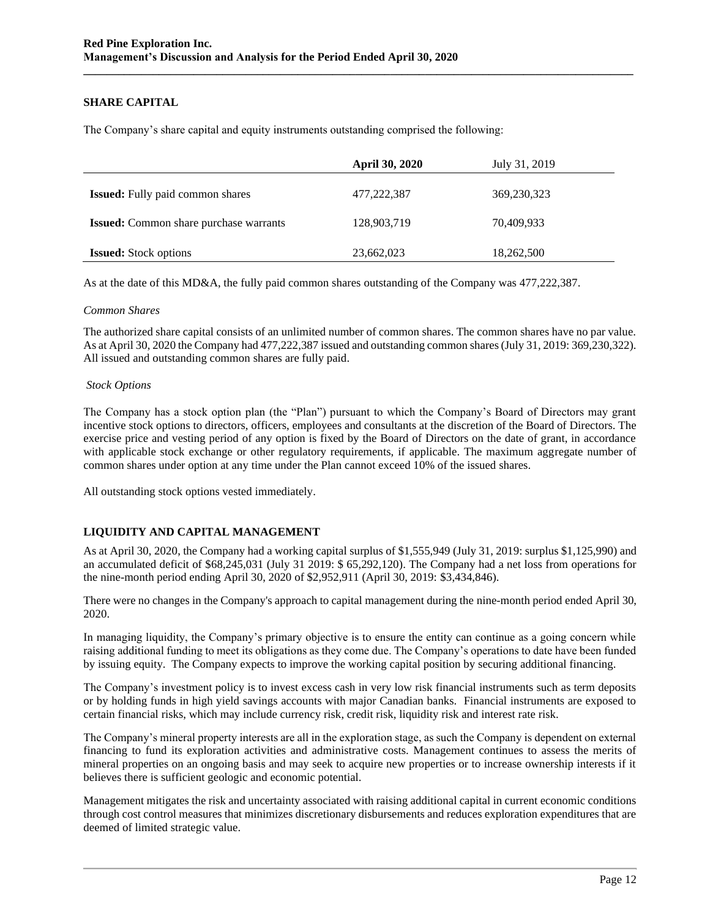# **SHARE CAPITAL**

The Company's share capital and equity instruments outstanding comprised the following:

|                                               | <b>April 30, 2020</b> | July 31, 2019 |
|-----------------------------------------------|-----------------------|---------------|
| <b>Issued:</b> Fully paid common shares       | 477,222,387           | 369,230,323   |
| <b>Issued:</b> Common share purchase warrants | 128,903,719           | 70,409,933    |
| <b>Issued:</b> Stock options                  | 23,662,023            | 18,262,500    |

As at the date of this MD&A, the fully paid common shares outstanding of the Company was 477,222,387.

#### *Common Shares*

The authorized share capital consists of an unlimited number of common shares. The common shares have no par value. As at April 30, 2020 the Company had 477,222,387 issued and outstanding common shares (July 31, 2019: 369,230,322). All issued and outstanding common shares are fully paid.

#### *Stock Options*

The Company has a stock option plan (the "Plan") pursuant to which the Company's Board of Directors may grant incentive stock options to directors, officers, employees and consultants at the discretion of the Board of Directors. The exercise price and vesting period of any option is fixed by the Board of Directors on the date of grant, in accordance with applicable stock exchange or other regulatory requirements, if applicable. The maximum aggregate number of common shares under option at any time under the Plan cannot exceed 10% of the issued shares.

All outstanding stock options vested immediately.

## **LIQUIDITY AND CAPITAL MANAGEMENT**

As at April 30, 2020, the Company had a working capital surplus of \$1,555,949 (July 31, 2019: surplus \$1,125,990) and an accumulated deficit of \$68,245,031 (July 31 2019: \$ 65,292,120). The Company had a net loss from operations for the nine-month period ending April 30, 2020 of \$2,952,911 (April 30, 2019: \$3,434,846).

There were no changes in the Company's approach to capital management during the nine-month period ended April 30, 2020.

In managing liquidity, the Company's primary objective is to ensure the entity can continue as a going concern while raising additional funding to meet its obligations as they come due. The Company's operations to date have been funded by issuing equity. The Company expects to improve the working capital position by securing additional financing.

The Company's investment policy is to invest excess cash in very low risk financial instruments such as term deposits or by holding funds in high yield savings accounts with major Canadian banks. Financial instruments are exposed to certain financial risks, which may include currency risk, credit risk, liquidity risk and interest rate risk.

The Company's mineral property interests are all in the exploration stage, as such the Company is dependent on external financing to fund its exploration activities and administrative costs. Management continues to assess the merits of mineral properties on an ongoing basis and may seek to acquire new properties or to increase ownership interests if it believes there is sufficient geologic and economic potential.

Management mitigates the risk and uncertainty associated with raising additional capital in current economic conditions through cost control measures that minimizes discretionary disbursements and reduces exploration expenditures that are deemed of limited strategic value.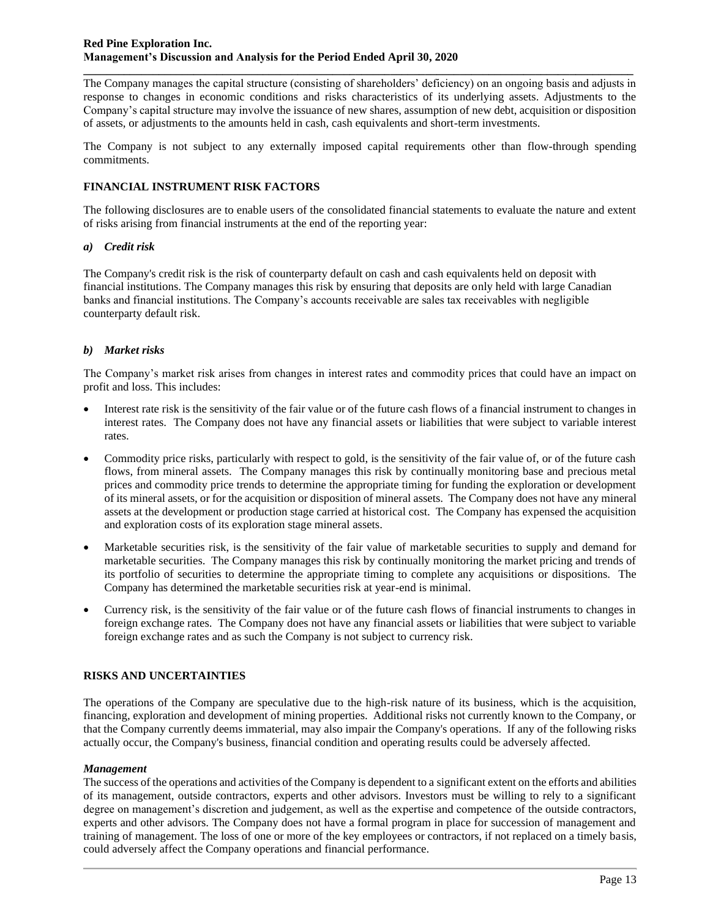**\_\_\_\_\_\_\_\_\_\_\_\_\_\_\_\_\_\_\_\_\_\_\_\_\_\_\_\_\_\_\_\_\_\_\_\_\_\_\_\_\_\_\_\_\_\_\_\_\_\_\_\_\_\_\_\_\_\_\_\_\_\_\_\_\_\_\_\_\_\_\_\_\_\_\_\_\_\_\_\_\_\_\_\_\_\_\_\_\_\_\_\_\_\_\_** The Company manages the capital structure (consisting of shareholders' deficiency) on an ongoing basis and adjusts in response to changes in economic conditions and risks characteristics of its underlying assets. Adjustments to the Company's capital structure may involve the issuance of new shares, assumption of new debt, acquisition or disposition of assets, or adjustments to the amounts held in cash, cash equivalents and short-term investments.

The Company is not subject to any externally imposed capital requirements other than flow-through spending commitments.

# **FINANCIAL INSTRUMENT RISK FACTORS**

The following disclosures are to enable users of the consolidated financial statements to evaluate the nature and extent of risks arising from financial instruments at the end of the reporting year:

## *a) Credit risk*

The Company's credit risk is the risk of counterparty default on cash and cash equivalents held on deposit with financial institutions. The Company manages this risk by ensuring that deposits are only held with large Canadian banks and financial institutions. The Company's accounts receivable are sales tax receivables with negligible counterparty default risk.

# *b) Market risks*

The Company's market risk arises from changes in interest rates and commodity prices that could have an impact on profit and loss. This includes:

- Interest rate risk is the sensitivity of the fair value or of the future cash flows of a financial instrument to changes in interest rates. The Company does not have any financial assets or liabilities that were subject to variable interest rates.
- Commodity price risks, particularly with respect to gold, is the sensitivity of the fair value of, or of the future cash flows, from mineral assets. The Company manages this risk by continually monitoring base and precious metal prices and commodity price trends to determine the appropriate timing for funding the exploration or development of its mineral assets, or for the acquisition or disposition of mineral assets. The Company does not have any mineral assets at the development or production stage carried at historical cost. The Company has expensed the acquisition and exploration costs of its exploration stage mineral assets.
- Marketable securities risk, is the sensitivity of the fair value of marketable securities to supply and demand for marketable securities. The Company manages this risk by continually monitoring the market pricing and trends of its portfolio of securities to determine the appropriate timing to complete any acquisitions or dispositions. The Company has determined the marketable securities risk at year-end is minimal.
- Currency risk, is the sensitivity of the fair value or of the future cash flows of financial instruments to changes in foreign exchange rates. The Company does not have any financial assets or liabilities that were subject to variable foreign exchange rates and as such the Company is not subject to currency risk.

## **RISKS AND UNCERTAINTIES**

The operations of the Company are speculative due to the high-risk nature of its business, which is the acquisition, financing, exploration and development of mining properties. Additional risks not currently known to the Company, or that the Company currently deems immaterial, may also impair the Company's operations. If any of the following risks actually occur, the Company's business, financial condition and operating results could be adversely affected.

#### *Management*

The success of the operations and activities of the Company is dependent to a significant extent on the efforts and abilities of its management, outside contractors, experts and other advisors. Investors must be willing to rely to a significant degree on management's discretion and judgement, as well as the expertise and competence of the outside contractors, experts and other advisors. The Company does not have a formal program in place for succession of management and training of management. The loss of one or more of the key employees or contractors, if not replaced on a timely basis, could adversely affect the Company operations and financial performance.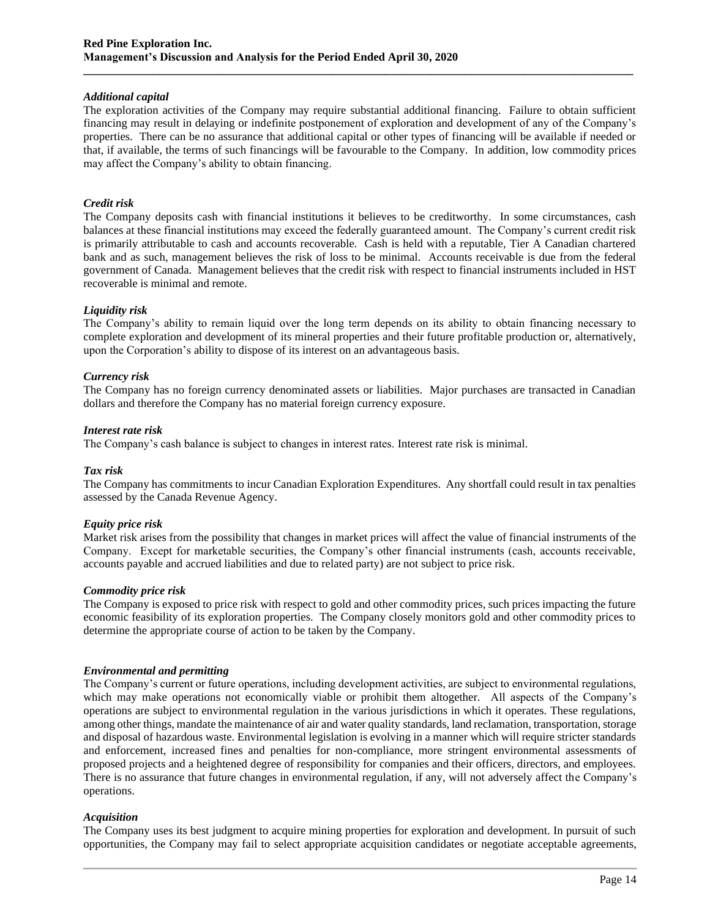#### *Additional capital*

The exploration activities of the Company may require substantial additional financing. Failure to obtain sufficient financing may result in delaying or indefinite postponement of exploration and development of any of the Company's properties. There can be no assurance that additional capital or other types of financing will be available if needed or that, if available, the terms of such financings will be favourable to the Company. In addition, low commodity prices may affect the Company's ability to obtain financing.

**\_\_\_\_\_\_\_\_\_\_\_\_\_\_\_\_\_\_\_\_\_\_\_\_\_\_\_\_\_\_\_\_\_\_\_\_\_\_\_\_\_\_\_\_\_\_\_\_\_\_\_\_\_\_\_\_\_\_\_\_\_\_\_\_\_\_\_\_\_\_\_\_\_\_\_\_\_\_\_\_\_\_\_\_\_\_\_\_\_\_\_\_\_\_\_**

#### *Credit risk*

The Company deposits cash with financial institutions it believes to be creditworthy. In some circumstances, cash balances at these financial institutions may exceed the federally guaranteed amount. The Company's current credit risk is primarily attributable to cash and accounts recoverable. Cash is held with a reputable, Tier A Canadian chartered bank and as such, management believes the risk of loss to be minimal. Accounts receivable is due from the federal government of Canada. Management believes that the credit risk with respect to financial instruments included in HST recoverable is minimal and remote.

#### *Liquidity risk*

The Company's ability to remain liquid over the long term depends on its ability to obtain financing necessary to complete exploration and development of its mineral properties and their future profitable production or, alternatively, upon the Corporation's ability to dispose of its interest on an advantageous basis.

#### *Currency risk*

The Company has no foreign currency denominated assets or liabilities. Major purchases are transacted in Canadian dollars and therefore the Company has no material foreign currency exposure.

#### *Interest rate risk*

The Company's cash balance is subject to changes in interest rates. Interest rate risk is minimal.

#### *Tax risk*

The Company has commitments to incur Canadian Exploration Expenditures. Any shortfall could result in tax penalties assessed by the Canada Revenue Agency.

#### *Equity price risk*

Market risk arises from the possibility that changes in market prices will affect the value of financial instruments of the Company. Except for marketable securities, the Company's other financial instruments (cash, accounts receivable, accounts payable and accrued liabilities and due to related party) are not subject to price risk.

#### *Commodity price risk*

The Company is exposed to price risk with respect to gold and other commodity prices, such prices impacting the future economic feasibility of its exploration properties. The Company closely monitors gold and other commodity prices to determine the appropriate course of action to be taken by the Company.

#### *Environmental and permitting*

The Company's current or future operations, including development activities, are subject to environmental regulations, which may make operations not economically viable or prohibit them altogether. All aspects of the Company's operations are subject to environmental regulation in the various jurisdictions in which it operates. These regulations, among other things, mandate the maintenance of air and water quality standards, land reclamation, transportation, storage and disposal of hazardous waste. Environmental legislation is evolving in a manner which will require stricter standards and enforcement, increased fines and penalties for non-compliance, more stringent environmental assessments of proposed projects and a heightened degree of responsibility for companies and their officers, directors, and employees. There is no assurance that future changes in environmental regulation, if any, will not adversely affect the Company's operations.

#### *Acquisition*

The Company uses its best judgment to acquire mining properties for exploration and development. In pursuit of such opportunities, the Company may fail to select appropriate acquisition candidates or negotiate acceptable agreements,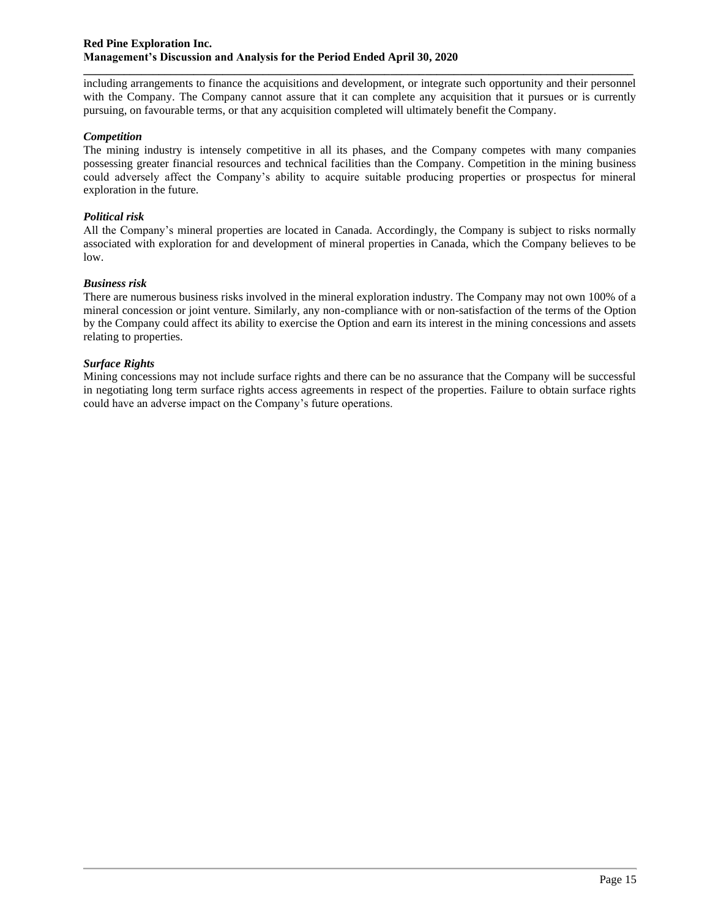including arrangements to finance the acquisitions and development, or integrate such opportunity and their personnel with the Company. The Company cannot assure that it can complete any acquisition that it pursues or is currently pursuing, on favourable terms, or that any acquisition completed will ultimately benefit the Company.

**\_\_\_\_\_\_\_\_\_\_\_\_\_\_\_\_\_\_\_\_\_\_\_\_\_\_\_\_\_\_\_\_\_\_\_\_\_\_\_\_\_\_\_\_\_\_\_\_\_\_\_\_\_\_\_\_\_\_\_\_\_\_\_\_\_\_\_\_\_\_\_\_\_\_\_\_\_\_\_\_\_\_\_\_\_\_\_\_\_\_\_\_\_\_\_**

## *Competition*

The mining industry is intensely competitive in all its phases, and the Company competes with many companies possessing greater financial resources and technical facilities than the Company. Competition in the mining business could adversely affect the Company's ability to acquire suitable producing properties or prospectus for mineral exploration in the future.

# *Political risk*

All the Company's mineral properties are located in Canada. Accordingly, the Company is subject to risks normally associated with exploration for and development of mineral properties in Canada, which the Company believes to be low.

# *Business risk*

There are numerous business risks involved in the mineral exploration industry. The Company may not own 100% of a mineral concession or joint venture. Similarly, any non-compliance with or non-satisfaction of the terms of the Option by the Company could affect its ability to exercise the Option and earn its interest in the mining concessions and assets relating to properties.

# *Surface Rights*

Mining concessions may not include surface rights and there can be no assurance that the Company will be successful in negotiating long term surface rights access agreements in respect of the properties. Failure to obtain surface rights could have an adverse impact on the Company's future operations.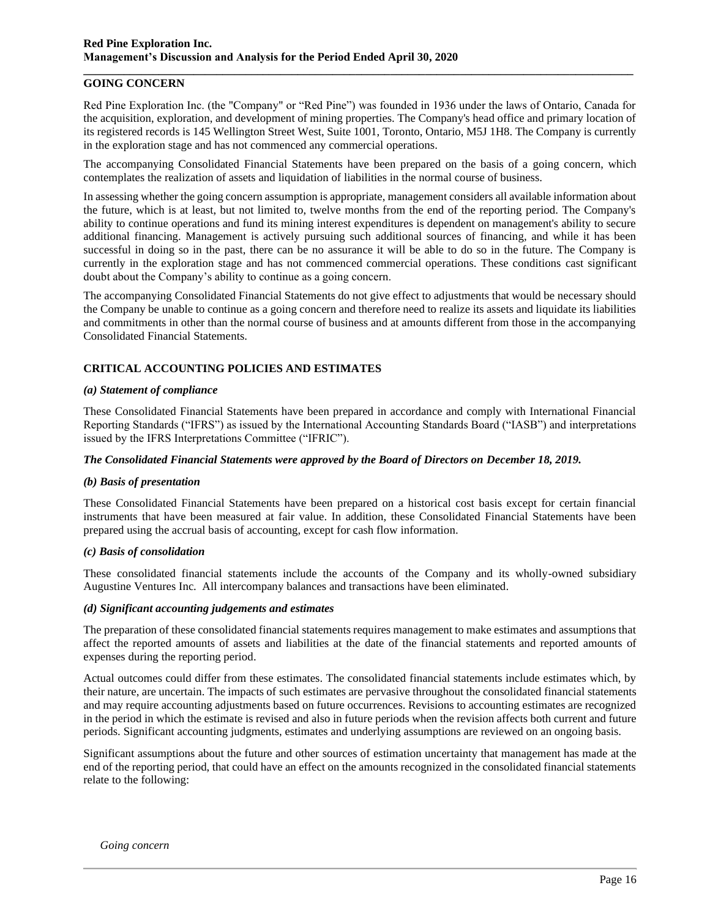# **GOING CONCERN**

Red Pine Exploration Inc. (the "Company" or "Red Pine") was founded in 1936 under the laws of Ontario, Canada for the acquisition, exploration, and development of mining properties. The Company's head office and primary location of its registered records is 145 Wellington Street West, Suite 1001, Toronto, Ontario, M5J 1H8. The Company is currently in the exploration stage and has not commenced any commercial operations.

**\_\_\_\_\_\_\_\_\_\_\_\_\_\_\_\_\_\_\_\_\_\_\_\_\_\_\_\_\_\_\_\_\_\_\_\_\_\_\_\_\_\_\_\_\_\_\_\_\_\_\_\_\_\_\_\_\_\_\_\_\_\_\_\_\_\_\_\_\_\_\_\_\_\_\_\_\_\_\_\_\_\_\_\_\_\_\_\_\_\_\_\_\_\_\_**

The accompanying Consolidated Financial Statements have been prepared on the basis of a going concern, which contemplates the realization of assets and liquidation of liabilities in the normal course of business.

In assessing whether the going concern assumption is appropriate, management considers all available information about the future, which is at least, but not limited to, twelve months from the end of the reporting period. The Company's ability to continue operations and fund its mining interest expenditures is dependent on management's ability to secure additional financing. Management is actively pursuing such additional sources of financing, and while it has been successful in doing so in the past, there can be no assurance it will be able to do so in the future. The Company is currently in the exploration stage and has not commenced commercial operations. These conditions cast significant doubt about the Company's ability to continue as a going concern.

The accompanying Consolidated Financial Statements do not give effect to adjustments that would be necessary should the Company be unable to continue as a going concern and therefore need to realize its assets and liquidate its liabilities and commitments in other than the normal course of business and at amounts different from those in the accompanying Consolidated Financial Statements.

## **CRITICAL ACCOUNTING POLICIES AND ESTIMATES**

#### *(a) Statement of compliance*

These Consolidated Financial Statements have been prepared in accordance and comply with International Financial Reporting Standards ("IFRS") as issued by the International Accounting Standards Board ("IASB") and interpretations issued by the IFRS Interpretations Committee ("IFRIC").

#### *The Consolidated Financial Statements were approved by the Board of Directors on December 18, 2019.*

## *(b) Basis of presentation*

These Consolidated Financial Statements have been prepared on a historical cost basis except for certain financial instruments that have been measured at fair value. In addition, these Consolidated Financial Statements have been prepared using the accrual basis of accounting, except for cash flow information.

## *(c) Basis of consolidation*

These consolidated financial statements include the accounts of the Company and its wholly-owned subsidiary Augustine Ventures Inc. All intercompany balances and transactions have been eliminated.

#### *(d) Significant accounting judgements and estimates*

The preparation of these consolidated financial statements requires management to make estimates and assumptions that affect the reported amounts of assets and liabilities at the date of the financial statements and reported amounts of expenses during the reporting period.

Actual outcomes could differ from these estimates. The consolidated financial statements include estimates which, by their nature, are uncertain. The impacts of such estimates are pervasive throughout the consolidated financial statements and may require accounting adjustments based on future occurrences. Revisions to accounting estimates are recognized in the period in which the estimate is revised and also in future periods when the revision affects both current and future periods. Significant accounting judgments, estimates and underlying assumptions are reviewed on an ongoing basis.

Significant assumptions about the future and other sources of estimation uncertainty that management has made at the end of the reporting period, that could have an effect on the amounts recognized in the consolidated financial statements relate to the following: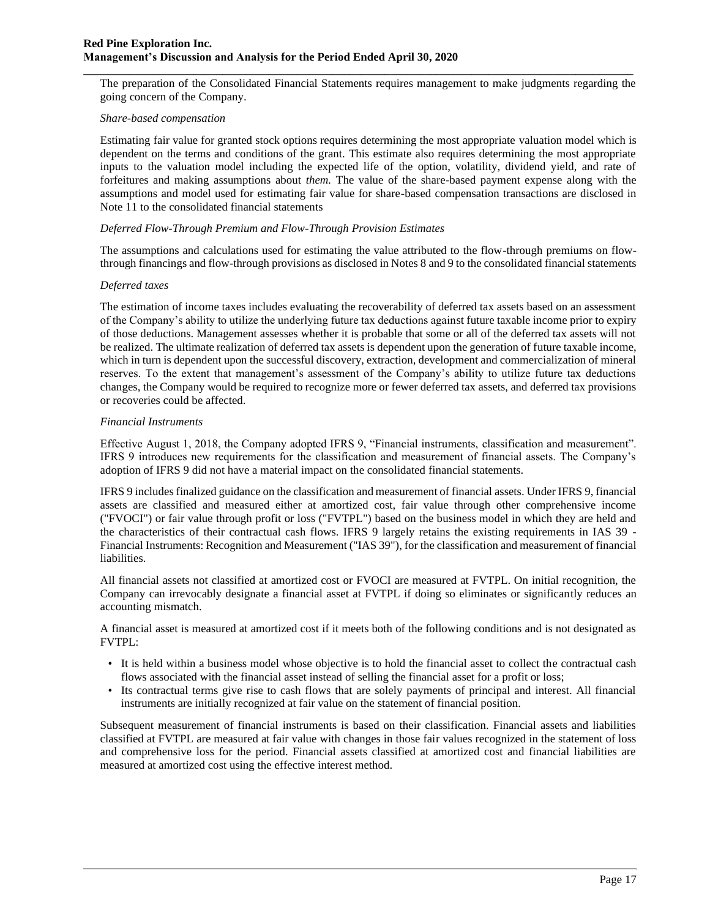The preparation of the Consolidated Financial Statements requires management to make judgments regarding the going concern of the Company.

**\_\_\_\_\_\_\_\_\_\_\_\_\_\_\_\_\_\_\_\_\_\_\_\_\_\_\_\_\_\_\_\_\_\_\_\_\_\_\_\_\_\_\_\_\_\_\_\_\_\_\_\_\_\_\_\_\_\_\_\_\_\_\_\_\_\_\_\_\_\_\_\_\_\_\_\_\_\_\_\_\_\_\_\_\_\_\_\_\_\_\_\_\_\_\_**

## *Share-based compensation*

Estimating fair value for granted stock options requires determining the most appropriate valuation model which is dependent on the terms and conditions of the grant. This estimate also requires determining the most appropriate inputs to the valuation model including the expected life of the option, volatility, dividend yield, and rate of forfeitures and making assumptions about *them.* The value of the share-based payment expense along with the assumptions and model used for estimating fair value for share-based compensation transactions are disclosed in Note 11 to the consolidated financial statements

#### *Deferred Flow-Through Premium and Flow-Through Provision Estimates*

The assumptions and calculations used for estimating the value attributed to the flow-through premiums on flowthrough financings and flow-through provisions as disclosed in Notes 8 and 9 to the consolidated financial statements

#### *Deferred taxes*

The estimation of income taxes includes evaluating the recoverability of deferred tax assets based on an assessment of the Company's ability to utilize the underlying future tax deductions against future taxable income prior to expiry of those deductions. Management assesses whether it is probable that some or all of the deferred tax assets will not be realized. The ultimate realization of deferred tax assets is dependent upon the generation of future taxable income, which in turn is dependent upon the successful discovery, extraction, development and commercialization of mineral reserves. To the extent that management's assessment of the Company's ability to utilize future tax deductions changes, the Company would be required to recognize more or fewer deferred tax assets, and deferred tax provisions or recoveries could be affected*.*

#### *Financial Instruments*

Effective August 1, 2018, the Company adopted IFRS 9, "Financial instruments, classification and measurement". IFRS 9 introduces new requirements for the classification and measurement of financial assets. The Company's adoption of IFRS 9 did not have a material impact on the consolidated financial statements.

IFRS 9 includes finalized guidance on the classification and measurement of financial assets. Under IFRS 9, financial assets are classified and measured either at amortized cost, fair value through other comprehensive income ("FVOCI") or fair value through profit or loss ("FVTPL") based on the business model in which they are held and the characteristics of their contractual cash flows. IFRS 9 largely retains the existing requirements in IAS 39 - Financial Instruments: Recognition and Measurement ("IAS 39"), for the classification and measurement of financial liabilities.

All financial assets not classified at amortized cost or FVOCI are measured at FVTPL. On initial recognition, the Company can irrevocably designate a financial asset at FVTPL if doing so eliminates or significantly reduces an accounting mismatch.

A financial asset is measured at amortized cost if it meets both of the following conditions and is not designated as FVTPL:

- It is held within a business model whose objective is to hold the financial asset to collect the contractual cash flows associated with the financial asset instead of selling the financial asset for a profit or loss;
- Its contractual terms give rise to cash flows that are solely payments of principal and interest. All financial instruments are initially recognized at fair value on the statement of financial position.

Subsequent measurement of financial instruments is based on their classification. Financial assets and liabilities classified at FVTPL are measured at fair value with changes in those fair values recognized in the statement of loss and comprehensive loss for the period. Financial assets classified at amortized cost and financial liabilities are measured at amortized cost using the effective interest method.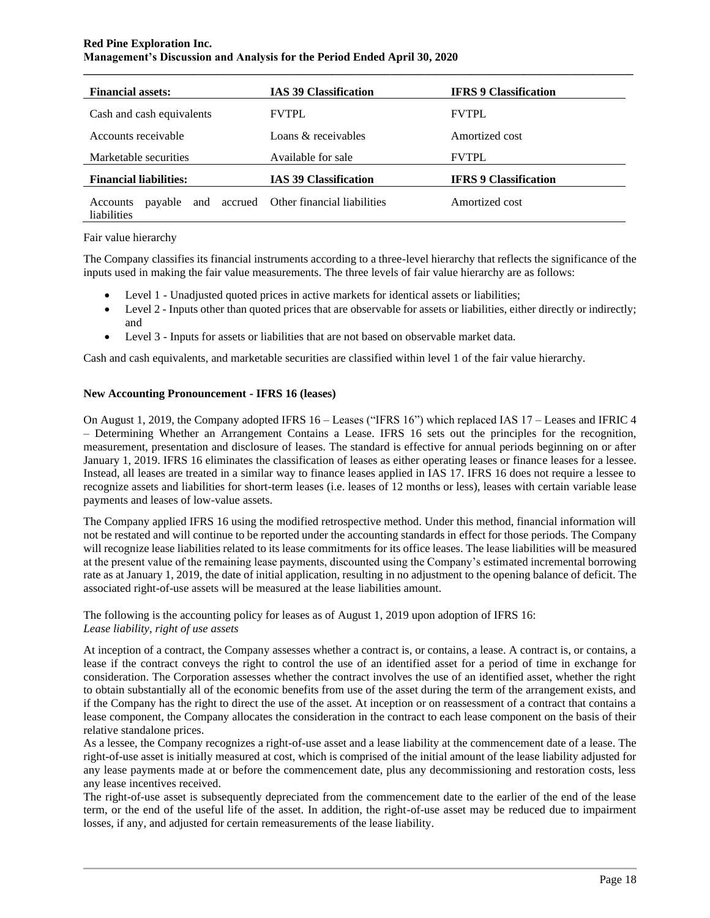## **Red Pine Exploration Inc. Management's Discussion and Analysis for the Period Ended April 30, 2020**

| <b>Financial assets:</b>           | <b>IAS 39 Classification</b>            | <b>IFRS 9 Classification</b> |
|------------------------------------|-----------------------------------------|------------------------------|
| Cash and cash equivalents          | <b>FVTPL</b>                            | <b>FVTPL</b>                 |
| Accounts receivable                | Loans & receivables                     | Amortized cost               |
| Marketable securities              | Available for sale                      | <b>FVTPL</b>                 |
| <b>Financial liabilities:</b>      | <b>IAS 39 Classification</b>            | <b>IFRS 9 Classification</b> |
| payable<br>Accounts<br>liabilities | and accrued Other financial liabilities | Amortized cost               |

#### Fair value hierarchy

The Company classifies its financial instruments according to a three-level hierarchy that reflects the significance of the inputs used in making the fair value measurements. The three levels of fair value hierarchy are as follows:

- Level 1 Unadjusted quoted prices in active markets for identical assets or liabilities;
- Level 2 Inputs other than quoted prices that are observable for assets or liabilities, either directly or indirectly; and
- Level 3 Inputs for assets or liabilities that are not based on observable market data.

Cash and cash equivalents, and marketable securities are classified within level 1 of the fair value hierarchy.

#### **New Accounting Pronouncement - IFRS 16 (leases)**

On August 1, 2019, the Company adopted IFRS 16 – Leases ("IFRS 16") which replaced IAS 17 – Leases and IFRIC 4 – Determining Whether an Arrangement Contains a Lease. IFRS 16 sets out the principles for the recognition, measurement, presentation and disclosure of leases. The standard is effective for annual periods beginning on or after January 1, 2019. IFRS 16 eliminates the classification of leases as either operating leases or finance leases for a lessee. Instead, all leases are treated in a similar way to finance leases applied in IAS 17. IFRS 16 does not require a lessee to recognize assets and liabilities for short-term leases (i.e. leases of 12 months or less), leases with certain variable lease payments and leases of low-value assets.

The Company applied IFRS 16 using the modified retrospective method. Under this method, financial information will not be restated and will continue to be reported under the accounting standards in effect for those periods. The Company will recognize lease liabilities related to its lease commitments for its office leases. The lease liabilities will be measured at the present value of the remaining lease payments, discounted using the Company's estimated incremental borrowing rate as at January 1, 2019, the date of initial application, resulting in no adjustment to the opening balance of deficit. The associated right-of-use assets will be measured at the lease liabilities amount.

The following is the accounting policy for leases as of August 1, 2019 upon adoption of IFRS 16: *Lease liability, right of use assets* 

At inception of a contract, the Company assesses whether a contract is, or contains, a lease. A contract is, or contains, a lease if the contract conveys the right to control the use of an identified asset for a period of time in exchange for consideration. The Corporation assesses whether the contract involves the use of an identified asset, whether the right to obtain substantially all of the economic benefits from use of the asset during the term of the arrangement exists, and if the Company has the right to direct the use of the asset. At inception or on reassessment of a contract that contains a lease component, the Company allocates the consideration in the contract to each lease component on the basis of their relative standalone prices.

As a lessee, the Company recognizes a right-of-use asset and a lease liability at the commencement date of a lease. The right-of-use asset is initially measured at cost, which is comprised of the initial amount of the lease liability adjusted for any lease payments made at or before the commencement date, plus any decommissioning and restoration costs, less any lease incentives received.

The right-of-use asset is subsequently depreciated from the commencement date to the earlier of the end of the lease term, or the end of the useful life of the asset. In addition, the right-of-use asset may be reduced due to impairment losses, if any, and adjusted for certain remeasurements of the lease liability.